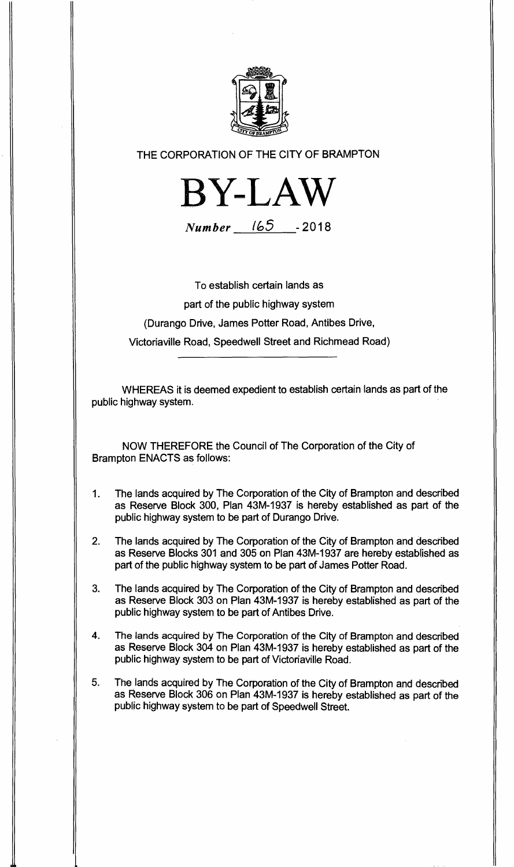

**THE CORPORATION OF THE CITY OF BRAMPTON** 



**Number l6J** - **2018** 

**To establish certain lands as** 

**part of the public highway system** 

**(Durango Drive, James Potter Road, Antibes Drive,** 

**Victoriaville Road, Speedwell Street and Richmead Road)** 

**WHEREAS it is deemed expedient to establish certain lands as part of the public highway system.** 

**NOW THEREFORE the Council of The Corporation of the City of Brampton ENACTS as follows:** 

- **1. The lands acquired by The Corporation of the City of Brampton and described as Reserve Block 300, Plan 43M-1937 is hereby established as part of the public highway system to be part of Durango Drive.**
- **2. The lands acquired by The Corporation of the City of Brampton and described as Reserve Blocks 301 and 305 on Plan 43M-1937 are hereby established as part of the public highway system to be part of James Potter Road.**
- **3. The lands acquired by The Corporation of the City of Brampton and described as Reserve Block 303 on Plan 43M-1937 is hereby established as part of the public highway system to be part of Antibes Drive.**
- **4. The lands acquired by The Corporation of the City of Brampton and described as Reserve Block 304 on Plan 43M-1937 is hereby established as part of the public highway system to be part of Victoriaville Road.**
- **5. The lands acquired by The Corporation of the City of Brampton and described as Reserve Block 306 on Plan 43M-1937 is hereby established as part of the public highway system to be part of Speedwell Street.**